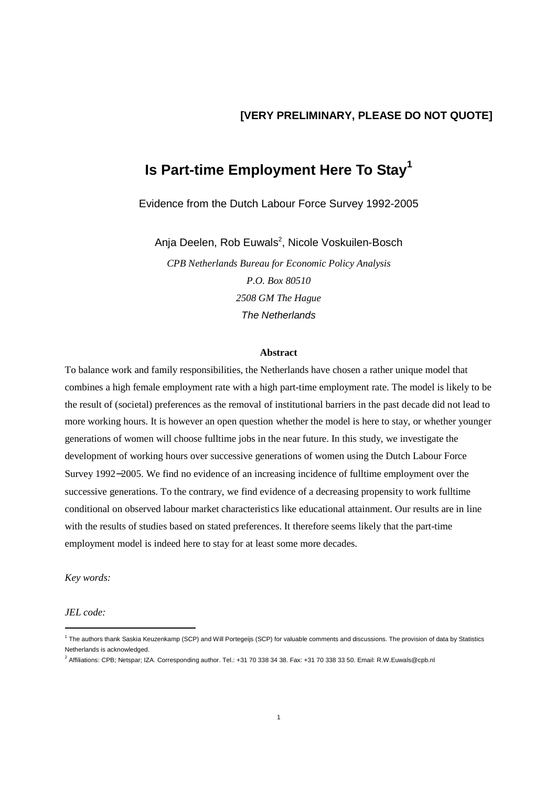# **[VERY PRELIMINARY, PLEASE DO NOT QUOTE]**

# **Is Part-time Employment Here To Stay<sup>1</sup>**

Evidence from the Dutch Labour Force Survey 1992-2005

Anja Deelen, Rob Euwals<sup>2</sup>, Nicole Voskuilen-Bosch

*CPB Netherlands Bureau for Economic Policy Analysis P.O. Box 80510 2508 GM The Hague*  The Netherlands

#### **Abstract**

To balance work and family responsibilities, the Netherlands have chosen a rather unique model that combines a high female employment rate with a high part-time employment rate. The model is likely to be the result of (societal) preferences as the removal of institutional barriers in the past decade did not lead to more working hours. It is however an open question whether the model is here to stay, or whether younger generations of women will choose fulltime jobs in the near future. In this study, we investigate the development of working hours over successive generations of women using the Dutch Labour Force Survey 1992−2005. We find no evidence of an increasing incidence of fulltime employment over the successive generations. To the contrary, we find evidence of a decreasing propensity to work fulltime conditional on observed labour market characteristics like educational attainment. Our results are in line with the results of studies based on stated preferences. It therefore seems likely that the part-time employment model is indeed here to stay for at least some more decades.

*Key words:* 

*JEL code:* 

-

<sup>&</sup>lt;sup>1</sup> The authors thank Saskia Keuzenkamp (SCP) and Will Portegeijs (SCP) for valuable comments and discussions. The provision of data by Statistics Netherlands is acknowledged.

<sup>2</sup> Affiliations: CPB; Netspar; IZA. Corresponding author. Tel.: +31 70 338 34 38. Fax: +31 70 338 33 50. Email: R.W.Euwals@cpb.nl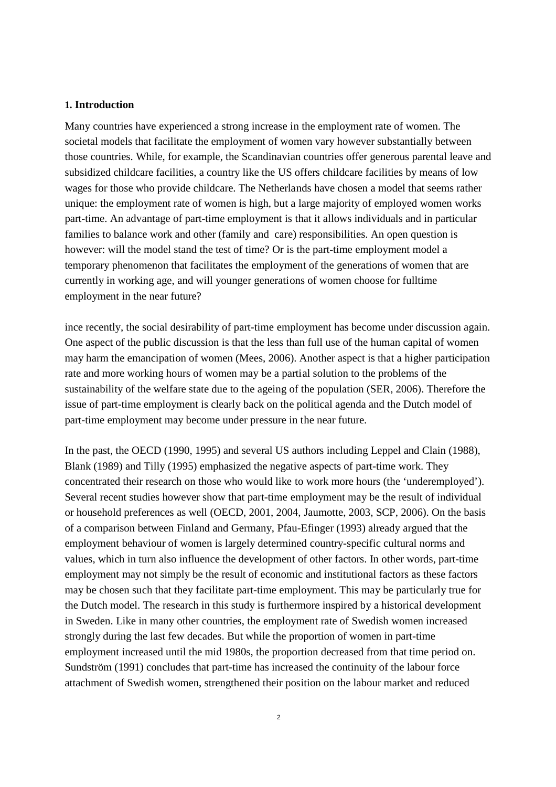#### **1. Introduction**

Many countries have experienced a strong increase in the employment rate of women. The societal models that facilitate the employment of women vary however substantially between those countries. While, for example, the Scandinavian countries offer generous parental leave and subsidized childcare facilities, a country like the US offers childcare facilities by means of low wages for those who provide childcare. The Netherlands have chosen a model that seems rather unique: the employment rate of women is high, but a large majority of employed women works part-time. An advantage of part-time employment is that it allows individuals and in particular families to balance work and other (family and care) responsibilities. An open question is however: will the model stand the test of time? Or is the part-time employment model a temporary phenomenon that facilitates the employment of the generations of women that are currently in working age, and will younger generations of women choose for fulltime employment in the near future?

ince recently, the social desirability of part-time employment has become under discussion again. One aspect of the public discussion is that the less than full use of the human capital of women may harm the emancipation of women (Mees, 2006). Another aspect is that a higher participation rate and more working hours of women may be a partial solution to the problems of the sustainability of the welfare state due to the ageing of the population (SER, 2006). Therefore the issue of part-time employment is clearly back on the political agenda and the Dutch model of part-time employment may become under pressure in the near future.

In the past, the OECD (1990, 1995) and several US authors including Leppel and Clain (1988), Blank (1989) and Tilly (1995) emphasized the negative aspects of part-time work. They concentrated their research on those who would like to work more hours (the 'underemployed'). Several recent studies however show that part-time employment may be the result of individual or household preferences as well (OECD, 2001, 2004, Jaumotte, 2003, SCP, 2006). On the basis of a comparison between Finland and Germany, Pfau-Efinger (1993) already argued that the employment behaviour of women is largely determined country-specific cultural norms and values, which in turn also influence the development of other factors. In other words, part-time employment may not simply be the result of economic and institutional factors as these factors may be chosen such that they facilitate part-time employment. This may be particularly true for the Dutch model. The research in this study is furthermore inspired by a historical development in Sweden. Like in many other countries, the employment rate of Swedish women increased strongly during the last few decades. But while the proportion of women in part-time employment increased until the mid 1980s, the proportion decreased from that time period on. Sundström (1991) concludes that part-time has increased the continuity of the labour force attachment of Swedish women, strengthened their position on the labour market and reduced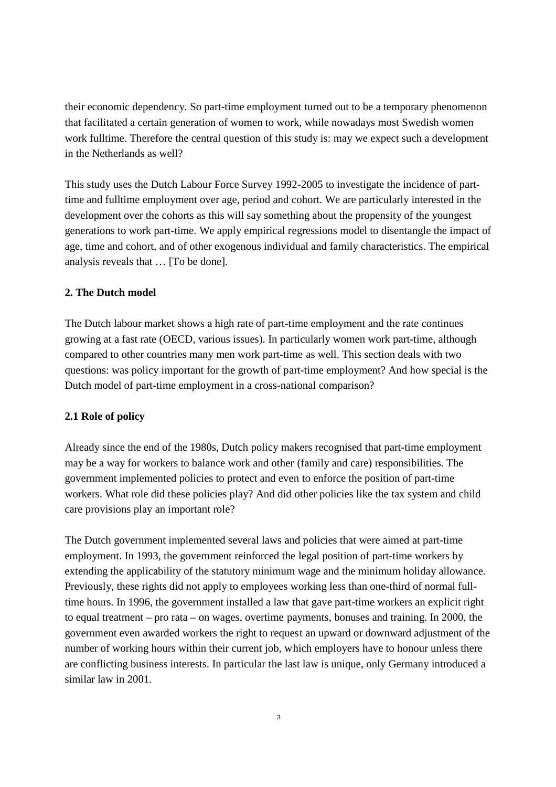their economic dependency. So part-time employment turned out to be a temporary phenomenon that facilitated a certain generation of women to work, while nowadays most Swedish women work fulltime. Therefore the central question of this study is: may we expect such a development in the Netherlands as well?

This study uses the Dutch Labour Force Survey 1992-2005 to investigate the incidence of parttime and fulltime employment over age, period and cohort. We are particularly interested in the development over the cohorts as this will say something about the propensity of the youngest generations to work part-time. We apply empirical regressions model to disentangle the impact of age, time and cohort, and of other exogenous individual and family characteristics. The empirical analysis reveals that … [To be done].

# **2. The Dutch model**

The Dutch labour market shows a high rate of part-time employment and the rate continues growing at a fast rate (OECD, various issues). In particularly women work part-time, although compared to other countries many men work part-time as well. This section deals with two questions: was policy important for the growth of part-time employment? And how special is the Dutch model of part-time employment in a cross-national comparison?

# **2.1 Role of policy**

Already since the end of the 1980s, Dutch policy makers recognised that part-time employment may be a way for workers to balance work and other (family and care) responsibilities. The government implemented policies to protect and even to enforce the position of part-time workers. What role did these policies play? And did other policies like the tax system and child care provisions play an important role?

The Dutch government implemented several laws and policies that were aimed at part-time employment. In 1993, the government reinforced the legal position of part-time workers by extending the applicability of the statutory minimum wage and the minimum holiday allowance. Previously, these rights did not apply to employees working less than one-third of normal fulltime hours. In 1996, the government installed a law that gave part-time workers an explicit right to equal treatment – pro rata – on wages, overtime payments, bonuses and training. In 2000, the government even awarded workers the right to request an upward or downward adjustment of the number of working hours within their current job, which employers have to honour unless there are conflicting business interests. In particular the last law is unique, only Germany introduced a similar law in 2001.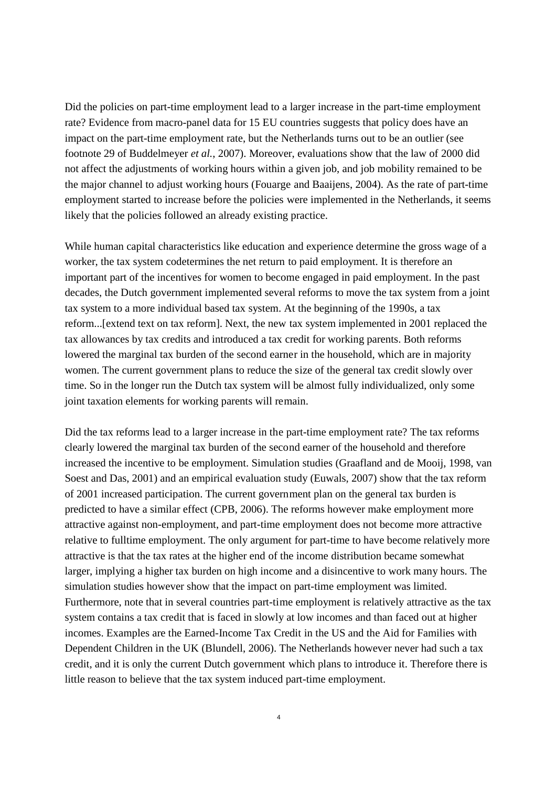Did the policies on part-time employment lead to a larger increase in the part-time employment rate? Evidence from macro-panel data for 15 EU countries suggests that policy does have an impact on the part-time employment rate, but the Netherlands turns out to be an outlier (see footnote 29 of Buddelmeyer *et al.*, 2007). Moreover, evaluations show that the law of 2000 did not affect the adjustments of working hours within a given job, and job mobility remained to be the major channel to adjust working hours (Fouarge and Baaijens, 2004). As the rate of part-time employment started to increase before the policies were implemented in the Netherlands, it seems likely that the policies followed an already existing practice.

While human capital characteristics like education and experience determine the gross wage of a worker, the tax system codetermines the net return to paid employment. It is therefore an important part of the incentives for women to become engaged in paid employment. In the past decades, the Dutch government implemented several reforms to move the tax system from a joint tax system to a more individual based tax system. At the beginning of the 1990s, a tax reform...[extend text on tax reform]. Next, the new tax system implemented in 2001 replaced the tax allowances by tax credits and introduced a tax credit for working parents. Both reforms lowered the marginal tax burden of the second earner in the household, which are in majority women. The current government plans to reduce the size of the general tax credit slowly over time. So in the longer run the Dutch tax system will be almost fully individualized, only some joint taxation elements for working parents will remain.

Did the tax reforms lead to a larger increase in the part-time employment rate? The tax reforms clearly lowered the marginal tax burden of the second earner of the household and therefore increased the incentive to be employment. Simulation studies (Graafland and de Mooij, 1998, van Soest and Das, 2001) and an empirical evaluation study (Euwals, 2007) show that the tax reform of 2001 increased participation. The current government plan on the general tax burden is predicted to have a similar effect (CPB, 2006). The reforms however make employment more attractive against non-employment, and part-time employment does not become more attractive relative to fulltime employment. The only argument for part-time to have become relatively more attractive is that the tax rates at the higher end of the income distribution became somewhat larger, implying a higher tax burden on high income and a disincentive to work many hours. The simulation studies however show that the impact on part-time employment was limited. Furthermore, note that in several countries part-time employment is relatively attractive as the tax system contains a tax credit that is faced in slowly at low incomes and than faced out at higher incomes. Examples are the Earned-Income Tax Credit in the US and the Aid for Families with Dependent Children in the UK (Blundell, 2006). The Netherlands however never had such a tax credit, and it is only the current Dutch government which plans to introduce it. Therefore there is little reason to believe that the tax system induced part-time employment.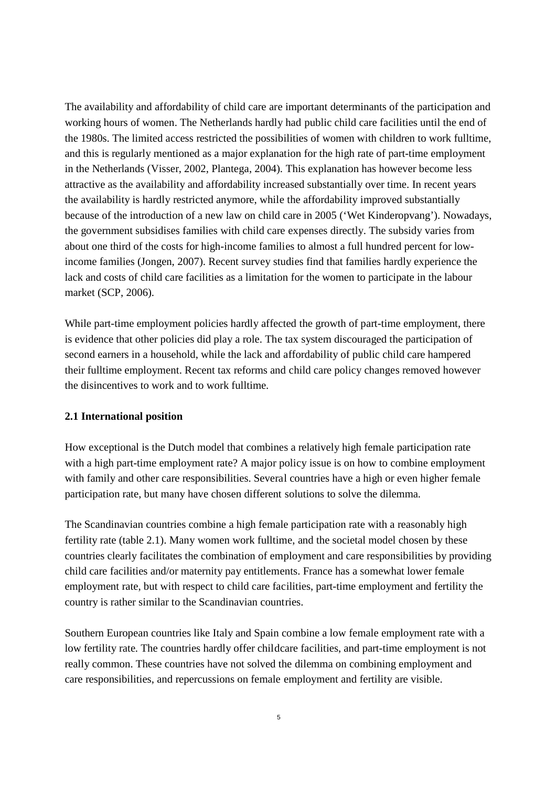The availability and affordability of child care are important determinants of the participation and working hours of women. The Netherlands hardly had public child care facilities until the end of the 1980s. The limited access restricted the possibilities of women with children to work fulltime, and this is regularly mentioned as a major explanation for the high rate of part-time employment in the Netherlands (Visser, 2002, Plantega, 2004). This explanation has however become less attractive as the availability and affordability increased substantially over time. In recent years the availability is hardly restricted anymore, while the affordability improved substantially because of the introduction of a new law on child care in 2005 ('Wet Kinderopvang'). Nowadays, the government subsidises families with child care expenses directly. The subsidy varies from about one third of the costs for high-income families to almost a full hundred percent for lowincome families (Jongen, 2007). Recent survey studies find that families hardly experience the lack and costs of child care facilities as a limitation for the women to participate in the labour market (SCP, 2006).

While part-time employment policies hardly affected the growth of part-time employment, there is evidence that other policies did play a role. The tax system discouraged the participation of second earners in a household, while the lack and affordability of public child care hampered their fulltime employment. Recent tax reforms and child care policy changes removed however the disincentives to work and to work fulltime.

# **2.1 International position**

How exceptional is the Dutch model that combines a relatively high female participation rate with a high part-time employment rate? A major policy issue is on how to combine employment with family and other care responsibilities. Several countries have a high or even higher female participation rate, but many have chosen different solutions to solve the dilemma.

The Scandinavian countries combine a high female participation rate with a reasonably high fertility rate (table 2.1). Many women work fulltime, and the societal model chosen by these countries clearly facilitates the combination of employment and care responsibilities by providing child care facilities and/or maternity pay entitlements. France has a somewhat lower female employment rate, but with respect to child care facilities, part-time employment and fertility the country is rather similar to the Scandinavian countries.

Southern European countries like Italy and Spain combine a low female employment rate with a low fertility rate. The countries hardly offer childcare facilities, and part-time employment is not really common. These countries have not solved the dilemma on combining employment and care responsibilities, and repercussions on female employment and fertility are visible.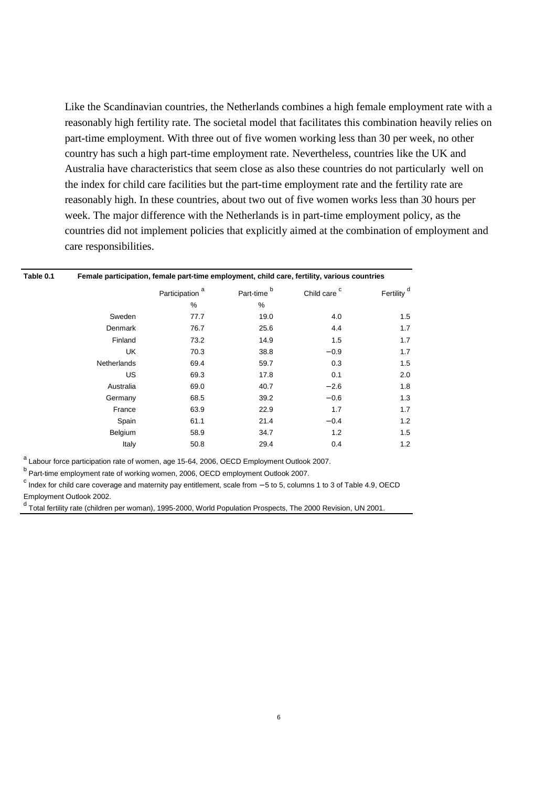Like the Scandinavian countries, the Netherlands combines a high female employment rate with a reasonably high fertility rate. The societal model that facilitates this combination heavily relies on part-time employment. With three out of five women working less than 30 per week, no other country has such a high part-time employment rate. Nevertheless, countries like the UK and Australia have characteristics that seem close as also these countries do not particularly well on the index for child care facilities but the part-time employment rate and the fertility rate are reasonably high. In these countries, about two out of five women works less than 30 hours per week. The major difference with the Netherlands is in part-time employment policy, as the countries did not implement policies that explicitly aimed at the combination of employment and care responsibilities.

| Table 0.1 | Female participation, female part-time employment, child care, fertility, various countries |                            |                        |                         |                        |  |  |  |
|-----------|---------------------------------------------------------------------------------------------|----------------------------|------------------------|-------------------------|------------------------|--|--|--|
|           |                                                                                             | Participation <sup>a</sup> | Part-time <sup>b</sup> | Child care <sup>c</sup> | Fertility <sup>d</sup> |  |  |  |
|           |                                                                                             | %                          | %                      |                         |                        |  |  |  |
|           | Sweden                                                                                      | 77.7                       | 19.0                   | 4.0                     | 1.5                    |  |  |  |
|           | Denmark                                                                                     | 76.7                       | 25.6                   | 4.4                     | 1.7                    |  |  |  |
|           | Finland                                                                                     | 73.2                       | 14.9                   | 1.5                     | 1.7                    |  |  |  |
|           | UK                                                                                          | 70.3                       | 38.8                   | $-0.9$                  | 1.7                    |  |  |  |
|           | <b>Netherlands</b>                                                                          | 69.4                       | 59.7                   | 0.3                     | 1.5                    |  |  |  |
|           | <b>US</b>                                                                                   | 69.3                       | 17.8                   | 0.1                     | 2.0                    |  |  |  |
|           | Australia                                                                                   | 69.0                       | 40.7                   | $-2.6$                  | 1.8                    |  |  |  |
|           | Germany                                                                                     | 68.5                       | 39.2                   | $-0.6$                  | 1.3                    |  |  |  |
|           | France                                                                                      | 63.9                       | 22.9                   | 1.7                     | 1.7                    |  |  |  |
|           | Spain                                                                                       | 61.1                       | 21.4                   | $-0.4$                  | 1.2                    |  |  |  |
|           | Belgium                                                                                     | 58.9                       | 34.7                   | 1.2                     | 1.5                    |  |  |  |
|           | Italy                                                                                       | 50.8                       | 29.4                   | 0.4                     | 1.2                    |  |  |  |
|           |                                                                                             |                            |                        |                         |                        |  |  |  |

<sup>a</sup> Labour force participation rate of women, age 15-64, 2006, OECD Employment Outlook 2007.

<sup>b</sup> Part-time employment rate of working women, 2006, OECD employment Outlook 2007.

<sup>c</sup> Index for child care coverage and maternity pay entitlement, scale from – 5 to 5, columns 1 to 3 of Table 4.9, OECD Employment Outlook 2002.

<sup>d</sup> Total fertility rate (children per woman), 1995-2000, World Population Prospects, The 2000 Revision, UN 2001.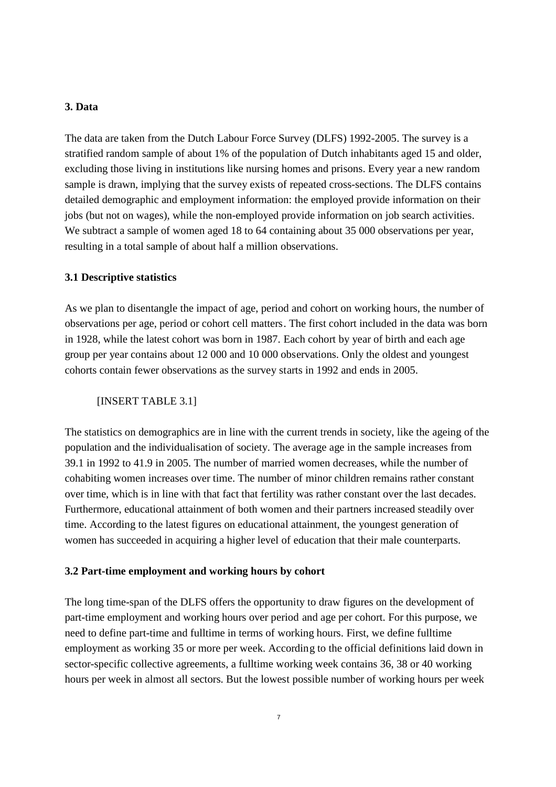# **3. Data**

The data are taken from the Dutch Labour Force Survey (DLFS) 1992-2005. The survey is a stratified random sample of about 1% of the population of Dutch inhabitants aged 15 and older, excluding those living in institutions like nursing homes and prisons. Every year a new random sample is drawn, implying that the survey exists of repeated cross-sections. The DLFS contains detailed demographic and employment information: the employed provide information on their jobs (but not on wages), while the non-employed provide information on job search activities. We subtract a sample of women aged 18 to 64 containing about 35 000 observations per year, resulting in a total sample of about half a million observations.

## **3.1 Descriptive statistics**

As we plan to disentangle the impact of age, period and cohort on working hours, the number of observations per age, period or cohort cell matters. The first cohort included in the data was born in 1928, while the latest cohort was born in 1987. Each cohort by year of birth and each age group per year contains about 12 000 and 10 000 observations. Only the oldest and youngest cohorts contain fewer observations as the survey starts in 1992 and ends in 2005.

#### [INSERT TABLE 3.1]

The statistics on demographics are in line with the current trends in society, like the ageing of the population and the individualisation of society. The average age in the sample increases from 39.1 in 1992 to 41.9 in 2005. The number of married women decreases, while the number of cohabiting women increases over time. The number of minor children remains rather constant over time, which is in line with that fact that fertility was rather constant over the last decades. Furthermore, educational attainment of both women and their partners increased steadily over time. According to the latest figures on educational attainment, the youngest generation of women has succeeded in acquiring a higher level of education that their male counterparts.

#### **3.2 Part-time employment and working hours by cohort**

The long time-span of the DLFS offers the opportunity to draw figures on the development of part-time employment and working hours over period and age per cohort. For this purpose, we need to define part-time and fulltime in terms of working hours. First, we define fulltime employment as working 35 or more per week. According to the official definitions laid down in sector-specific collective agreements, a fulltime working week contains 36, 38 or 40 working hours per week in almost all sectors. But the lowest possible number of working hours per week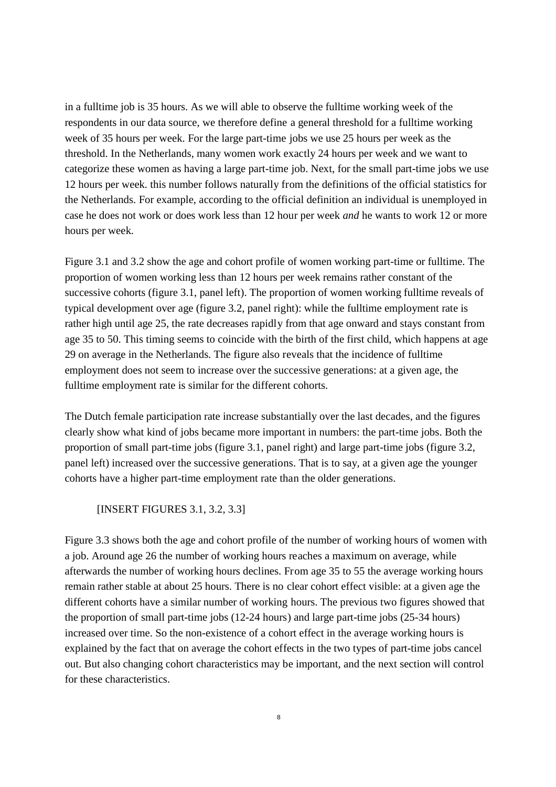in a fulltime job is 35 hours. As we will able to observe the fulltime working week of the respondents in our data source, we therefore define a general threshold for a fulltime working week of 35 hours per week. For the large part-time jobs we use 25 hours per week as the threshold. In the Netherlands, many women work exactly 24 hours per week and we want to categorize these women as having a large part-time job. Next, for the small part-time jobs we use 12 hours per week. this number follows naturally from the definitions of the official statistics for the Netherlands. For example, according to the official definition an individual is unemployed in case he does not work or does work less than 12 hour per week *and* he wants to work 12 or more hours per week.

Figure 3.1 and 3.2 show the age and cohort profile of women working part-time or fulltime. The proportion of women working less than 12 hours per week remains rather constant of the successive cohorts (figure 3.1, panel left). The proportion of women working fulltime reveals of typical development over age (figure 3.2, panel right): while the fulltime employment rate is rather high until age 25, the rate decreases rapidly from that age onward and stays constant from age 35 to 50. This timing seems to coincide with the birth of the first child, which happens at age 29 on average in the Netherlands. The figure also reveals that the incidence of fulltime employment does not seem to increase over the successive generations: at a given age, the fulltime employment rate is similar for the different cohorts.

The Dutch female participation rate increase substantially over the last decades, and the figures clearly show what kind of jobs became more important in numbers: the part-time jobs. Both the proportion of small part-time jobs (figure 3.1, panel right) and large part-time jobs (figure 3.2, panel left) increased over the successive generations. That is to say, at a given age the younger cohorts have a higher part-time employment rate than the older generations.

[INSERT FIGURES 3.1, 3.2, 3.3]

Figure 3.3 shows both the age and cohort profile of the number of working hours of women with a job. Around age 26 the number of working hours reaches a maximum on average, while afterwards the number of working hours declines. From age 35 to 55 the average working hours remain rather stable at about 25 hours. There is no clear cohort effect visible: at a given age the different cohorts have a similar number of working hours. The previous two figures showed that the proportion of small part-time jobs (12-24 hours) and large part-time jobs (25-34 hours) increased over time. So the non-existence of a cohort effect in the average working hours is explained by the fact that on average the cohort effects in the two types of part-time jobs cancel out. But also changing cohort characteristics may be important, and the next section will control for these characteristics.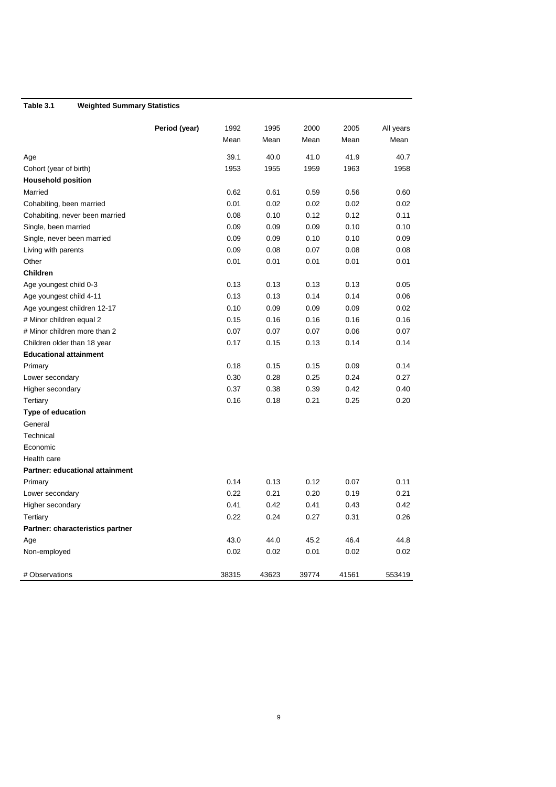# **Table 3.1 Weighted Summary Statistics**

|                                        | Period (year) | 1992  | 1995  | 2000  | 2005  | All years |
|----------------------------------------|---------------|-------|-------|-------|-------|-----------|
|                                        |               | Mean  | Mean  | Mean  | Mean  | Mean      |
| Age                                    |               | 39.1  | 40.0  | 41.0  | 41.9  | 40.7      |
| Cohort (year of birth)                 |               | 1953  | 1955  | 1959  | 1963  | 1958      |
| <b>Household position</b>              |               |       |       |       |       |           |
| Married                                |               | 0.62  | 0.61  | 0.59  | 0.56  | 0.60      |
| Cohabiting, been married               |               | 0.01  | 0.02  | 0.02  | 0.02  | 0.02      |
| Cohabiting, never been married         |               | 0.08  | 0.10  | 0.12  | 0.12  | 0.11      |
| Single, been married                   |               | 0.09  | 0.09  | 0.09  | 0.10  | 0.10      |
| Single, never been married             |               | 0.09  | 0.09  | 0.10  | 0.10  | 0.09      |
| Living with parents                    |               | 0.09  | 0.08  | 0.07  | 0.08  | 0.08      |
| Other                                  |               | 0.01  | 0.01  | 0.01  | 0.01  | 0.01      |
| <b>Children</b>                        |               |       |       |       |       |           |
| Age youngest child 0-3                 |               | 0.13  | 0.13  | 0.13  | 0.13  | 0.05      |
| Age youngest child 4-11                |               | 0.13  | 0.13  | 0.14  | 0.14  | 0.06      |
| Age youngest children 12-17            |               | 0.10  | 0.09  | 0.09  | 0.09  | 0.02      |
| # Minor children equal 2               |               | 0.15  | 0.16  | 0.16  | 0.16  | 0.16      |
| # Minor children more than 2           |               | 0.07  | 0.07  | 0.07  | 0.06  | 0.07      |
| Children older than 18 year            |               | 0.17  | 0.15  | 0.13  | 0.14  | 0.14      |
| <b>Educational attainment</b>          |               |       |       |       |       |           |
| Primary                                |               | 0.18  | 0.15  | 0.15  | 0.09  | 0.14      |
| Lower secondary                        |               | 0.30  | 0.28  | 0.25  | 0.24  | 0.27      |
| Higher secondary                       |               | 0.37  | 0.38  | 0.39  | 0.42  | 0.40      |
| Tertiary                               |               | 0.16  | 0.18  | 0.21  | 0.25  | 0.20      |
| <b>Type of education</b>               |               |       |       |       |       |           |
| General                                |               |       |       |       |       |           |
| Technical                              |               |       |       |       |       |           |
| Economic                               |               |       |       |       |       |           |
| Health care                            |               |       |       |       |       |           |
| <b>Partner: educational attainment</b> |               |       |       |       |       |           |
| Primary                                |               | 0.14  | 0.13  | 0.12  | 0.07  | 0.11      |
| Lower secondary                        |               | 0.22  | 0.21  | 0.20  | 0.19  | 0.21      |
| Higher secondary                       |               | 0.41  | 0.42  | 0.41  | 0.43  | 0.42      |
| Tertiary                               |               | 0.22  | 0.24  | 0.27  | 0.31  | 0.26      |
| Partner: characteristics partner       |               |       |       |       |       |           |
| Age                                    |               | 43.0  | 44.0  | 45.2  | 46.4  | 44.8      |
| Non-employed                           |               | 0.02  | 0.02  | 0.01  | 0.02  | 0.02      |
| # Observations                         |               | 38315 | 43623 | 39774 | 41561 | 553419    |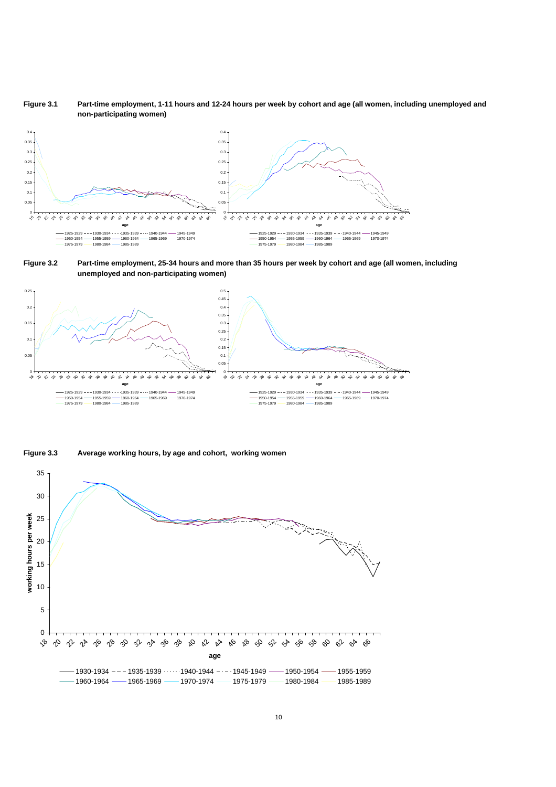**Figure 3.1 Part-time employment, 1-11 hours and 12-24 hours per week by cohort and age (all women, including unemployed and non-participating women)** 



**Figure 3.2 Part-time employment, 25-34 hours and more than 35 hours per week by cohort and age (all women, including unemployed and non-participating women)** 





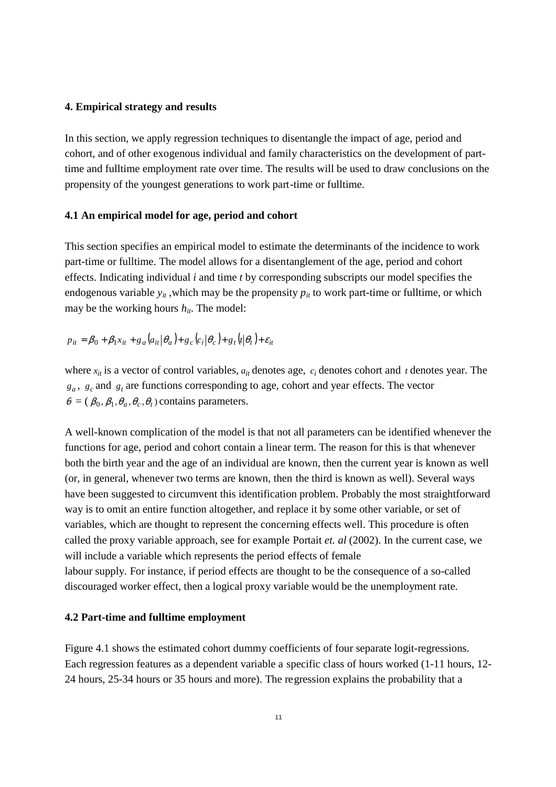## **4. Empirical strategy and results**

In this section, we apply regression techniques to disentangle the impact of age, period and cohort, and of other exogenous individual and family characteristics on the development of parttime and fulltime employment rate over time. The results will be used to draw conclusions on the propensity of the youngest generations to work part-time or fulltime.

## **4.1 An empirical model for age, period and cohort**

This section specifies an empirical model to estimate the determinants of the incidence to work part-time or fulltime. The model allows for a disentanglement of the age, period and cohort effects. Indicating individual *i* and time *t* by corresponding subscripts our model specifies the endogenous variable  $y_{it}$ , which may be the propensity  $p_{it}$  to work part-time or fulltime, or which may be the working hours  $h_{it}$ . The model:

$$
p_{it} = \beta_0 + \beta_1 x_{it} + g_a (a_{it} | \theta_a) + g_c (c_i | \theta_c) + g_t (t | \theta_t) + \varepsilon_{it}
$$

where  $x_{it}$  is a vector of control variables,  $a_{it}$  denotes age,  $c_i$  denotes cohort and  $t$  denotes year. The  $g_a$ ,  $g_c$  and  $g_t$  are functions corresponding to age, cohort and year effects. The vector  $\theta = (\beta_0, \beta_1, \theta_a, \theta_c, \theta_t)$  contains parameters.

A well-known complication of the model is that not all parameters can be identified whenever the functions for age, period and cohort contain a linear term. The reason for this is that whenever both the birth year and the age of an individual are known, then the current year is known as well (or, in general, whenever two terms are known, then the third is known as well). Several ways have been suggested to circumvent this identification problem. Probably the most straightforward way is to omit an entire function altogether, and replace it by some other variable, or set of variables, which are thought to represent the concerning effects well. This procedure is often called the proxy variable approach, see for example Portait *et. al* (2002). In the current case, we will include a variable which represents the period effects of female labour supply. For instance, if period effects are thought to be the consequence of a so-called discouraged worker effect, then a logical proxy variable would be the unemployment rate.

#### **4.2 Part-time and fulltime employment**

Figure 4.1 shows the estimated cohort dummy coefficients of four separate logit-regressions. Each regression features as a dependent variable a specific class of hours worked (1-11 hours, 12- 24 hours, 25-34 hours or 35 hours and more). The regression explains the probability that a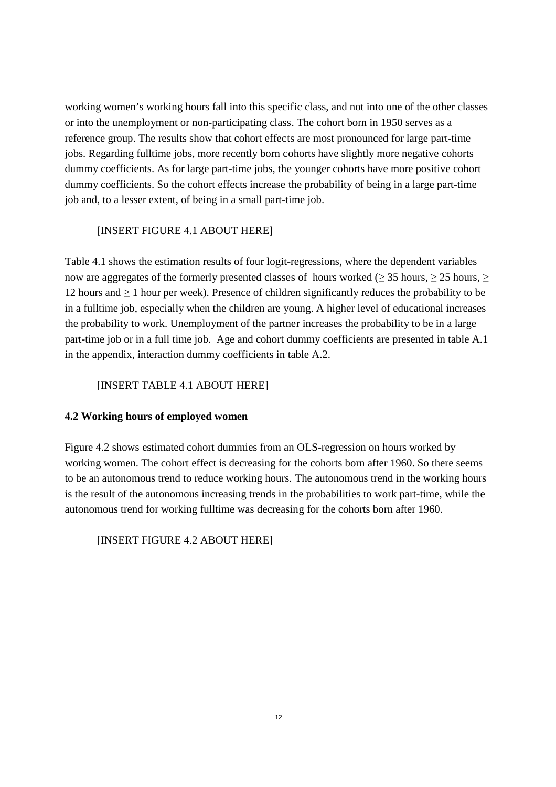working women's working hours fall into this specific class, and not into one of the other classes or into the unemployment or non-participating class. The cohort born in 1950 serves as a reference group. The results show that cohort effects are most pronounced for large part-time jobs. Regarding fulltime jobs, more recently born cohorts have slightly more negative cohorts dummy coefficients. As for large part-time jobs, the younger cohorts have more positive cohort dummy coefficients. So the cohort effects increase the probability of being in a large part-time job and, to a lesser extent, of being in a small part-time job.

# [INSERT FIGURE 4.1 ABOUT HERE]

Table 4.1 shows the estimation results of four logit-regressions, where the dependent variables now are aggregates of the formerly presented classes of hours worked ( $>$  35 hours,  $>$  25 hours,  $>$ 12 hours and ≥ 1 hour per week). Presence of children significantly reduces the probability to be in a fulltime job, especially when the children are young. A higher level of educational increases the probability to work. Unemployment of the partner increases the probability to be in a large part-time job or in a full time job. Age and cohort dummy coefficients are presented in table A.1 in the appendix, interaction dummy coefficients in table A.2.

# [INSERT TABLE 4.1 ABOUT HERE]

# **4.2 Working hours of employed women**

Figure 4.2 shows estimated cohort dummies from an OLS-regression on hours worked by working women. The cohort effect is decreasing for the cohorts born after 1960. So there seems to be an autonomous trend to reduce working hours. The autonomous trend in the working hours is the result of the autonomous increasing trends in the probabilities to work part-time, while the autonomous trend for working fulltime was decreasing for the cohorts born after 1960.

[INSERT FIGURE 4.2 ABOUT HERE]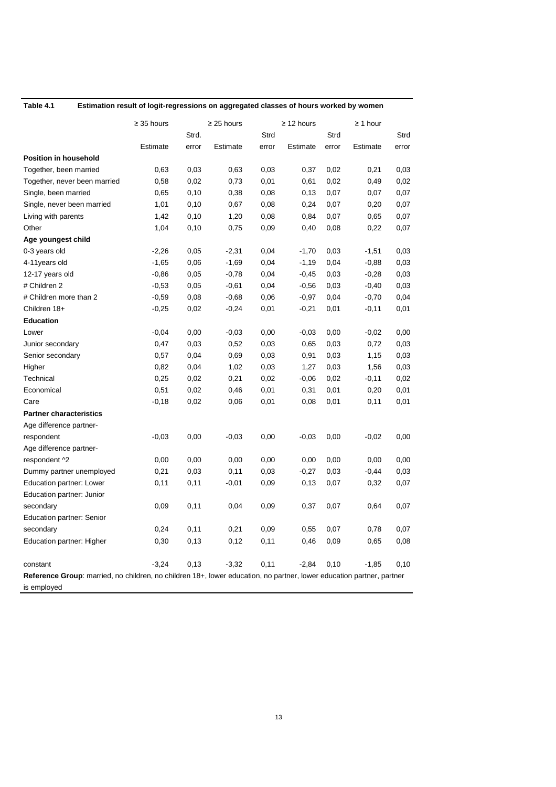| ۱<br>٠ | œ |  |
|--------|---|--|
|        |   |  |

#### Estimation result of logit-regressions on aggregated classes of hours worked by women

|                                                                                                                       | $\geq$ 35 hours | $\geq$ 25 hours |          | $\geq$ 12 hours |          | $\geq 1$ hour |          |       |
|-----------------------------------------------------------------------------------------------------------------------|-----------------|-----------------|----------|-----------------|----------|---------------|----------|-------|
|                                                                                                                       |                 | Strd.           |          | Strd            |          | Strd          |          | Strd  |
|                                                                                                                       | Estimate        | error           | Estimate | error           | Estimate | error         | Estimate | error |
| <b>Position in household</b>                                                                                          |                 |                 |          |                 |          |               |          |       |
| Together, been married                                                                                                | 0,63            | 0,03            | 0,63     | 0,03            | 0,37     | 0,02          | 0,21     | 0,03  |
| Together, never been married                                                                                          | 0,58            | 0,02            | 0,73     | 0,01            | 0,61     | 0,02          | 0,49     | 0,02  |
| Single, been married                                                                                                  | 0,65            | 0,10            | 0,38     | 0,08            | 0,13     | 0,07          | 0,07     | 0,07  |
| Single, never been married                                                                                            | 1,01            | 0,10            | 0,67     | 0,08            | 0,24     | 0,07          | 0,20     | 0,07  |
| Living with parents                                                                                                   | 1,42            | 0,10            | 1,20     | 0,08            | 0,84     | 0,07          | 0,65     | 0,07  |
| Other                                                                                                                 | 1,04            | 0,10            | 0,75     | 0,09            | 0,40     | 0,08          | 0,22     | 0,07  |
| Age youngest child                                                                                                    |                 |                 |          |                 |          |               |          |       |
| 0-3 years old                                                                                                         | $-2,26$         | 0,05            | $-2,31$  | 0,04            | $-1,70$  | 0,03          | $-1,51$  | 0,03  |
| 4-11years old                                                                                                         | $-1,65$         | 0,06            | $-1,69$  | 0,04            | $-1,19$  | 0,04          | $-0,88$  | 0,03  |
| 12-17 years old                                                                                                       | $-0,86$         | 0,05            | $-0,78$  | 0,04            | $-0,45$  | 0,03          | $-0,28$  | 0,03  |
| # Children 2                                                                                                          | $-0,53$         | 0,05            | $-0,61$  | 0,04            | $-0,56$  | 0,03          | $-0,40$  | 0,03  |
| # Children more than 2                                                                                                | $-0,59$         | 0,08            | $-0,68$  | 0,06            | $-0,97$  | 0,04          | $-0,70$  | 0,04  |
| Children 18+                                                                                                          | $-0,25$         | 0,02            | $-0,24$  | 0,01            | $-0,21$  | 0,01          | $-0,11$  | 0,01  |
| <b>Education</b>                                                                                                      |                 |                 |          |                 |          |               |          |       |
| Lower                                                                                                                 | $-0,04$         | 0,00            | $-0,03$  | 0,00            | $-0,03$  | 0,00          | $-0,02$  | 0,00  |
| Junior secondary                                                                                                      | 0,47            | 0,03            | 0,52     | 0,03            | 0,65     | 0,03          | 0,72     | 0,03  |
| Senior secondary                                                                                                      | 0,57            | 0,04            | 0,69     | 0,03            | 0,91     | 0,03          | 1,15     | 0,03  |
| Higher                                                                                                                | 0,82            | 0,04            | 1,02     | 0,03            | 1,27     | 0,03          | 1,56     | 0,03  |
| Technical                                                                                                             | 0,25            | 0,02            | 0,21     | 0,02            | $-0,06$  | 0,02          | $-0,11$  | 0,02  |
| Economical                                                                                                            | 0,51            | 0,02            | 0,46     | 0,01            | 0,31     | 0,01          | 0,20     | 0,01  |
| Care                                                                                                                  | $-0,18$         | 0,02            | 0,06     | 0,01            | 0,08     | 0,01          | 0,11     | 0,01  |
| <b>Partner characteristics</b>                                                                                        |                 |                 |          |                 |          |               |          |       |
| Age difference partner-                                                                                               |                 |                 |          |                 |          |               |          |       |
| respondent                                                                                                            | $-0,03$         | 0,00            | $-0,03$  | 0,00            | $-0,03$  | 0,00          | $-0,02$  | 0,00  |
| Age difference partner-                                                                                               |                 |                 |          |                 |          |               |          |       |
| respondent ^2                                                                                                         | 0,00            | 0,00            | 0,00     | 0,00            | 0,00     | 0,00          | 0,00     | 0,00  |
| Dummy partner unemployed                                                                                              | 0,21            | 0,03            | 0,11     | 0,03            | $-0,27$  | 0,03          | $-0,44$  | 0,03  |
| Education partner: Lower                                                                                              | 0,11            | 0,11            | $-0,01$  | 0,09            | 0,13     | 0,07          | 0,32     | 0,07  |
| Education partner: Junior                                                                                             |                 |                 |          |                 |          |               |          |       |
| secondary                                                                                                             | 0,09            | 0,11            | 0,04     | 0,09            | 0,37     | 0,07          | 0,64     | 0,07  |
| Education partner: Senior                                                                                             |                 |                 |          |                 |          |               |          |       |
| secondary                                                                                                             | 0,24            | 0,11            | 0,21     | 0,09            | 0,55     | 0,07          | 0,78     | 0,07  |
| Education partner: Higher                                                                                             | 0,30            | 0,13            | 0,12     | 0,11            | 0,46     | 0,09          | 0,65     | 0,08  |
| constant                                                                                                              | $-3,24$         | 0,13            | $-3,32$  | 0,11            | $-2,84$  | 0,10          | $-1,85$  | 0,10  |
| Reference Group: married, no children, no children 18+, lower education, no partner, lower education partner, partner |                 |                 |          |                 |          |               |          |       |
| is employed                                                                                                           |                 |                 |          |                 |          |               |          |       |